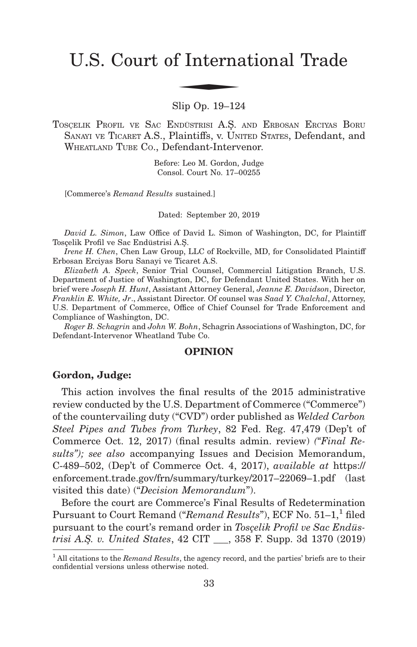# U.S. Court of International Trade f Interna

Slip Op. 19–124

TOSCELIK PROFIL VE SAC ENDÜSTRISI A.S. AND ERBOSAN ERCIYAS BORU SANAYI VE TICARET A.S., Plaintiffs, v. UNITED STATES, Defendant, and WHEATLAND TUBE CO., Defendant-Intervenor.

> Before: Leo M. Gordon, Judge Consol. Court No. 17–00255

[Commerce's *Remand Results* sustained.]

Dated: September 20, 2019

*David L. Simon*, Law Office of David L. Simon of Washington, DC, for Plaintiff Tosçelik Profil ve Sac Endüstrisi A.S¸.

*Irene H. Chen*, Chen Law Group, LLC of Rockville, MD, for Consolidated Plaintiff Erbosan Erciyas Boru Sanayi ve Ticaret A.S.

*Elizabeth A. Speck*, Senior Trial Counsel, Commercial Litigation Branch, U.S. Department of Justice of Washington, DC, for Defendant United States. With her on brief were *Joseph H. Hunt*, Assistant Attorney General, *Jeanne E. Davidson*, Director, *Franklin E. White, Jr*., Assistant Director. Of counsel was *Saad Y. Chalchal*, Attorney, U.S. Department of Commerce, Office of Chief Counsel for Trade Enforcement and Compliance of Washington, DC.

*Roger B. Schagrin* and *John W. Bohn*, Schagrin Associations of Washington, DC, for Defendant-Intervenor Wheatland Tube Co.

# **OPINION**

#### **Gordon, Judge:**

This action involves the final results of the 2015 administrative review conducted by the U.S. Department of Commerce ("Commerce") of the countervailing duty ("CVD") order published as *Welded Carbon Steel Pipes and Tubes from Turkey*, 82 Fed. Reg. 47,479 (Dep't of Commerce Oct. 12, 2017) (final results admin. review) *("Final Results"); see also* accompanying Issues and Decision Memorandum, C-489–502, (Dep't of Commerce Oct. 4, 2017), *available at* https:// enforcement.trade.gov/frn/summary/turkey/2017–22069–1.pdf (last visited this date) ("*Decision Memorandum*").

Before the court are Commerce's Final Results of Redetermination Pursuant to Court Remand ("*Remand Results*"), ECF No. 51–1,<sup>1</sup> filed pursuant to the court's remand order in *Tosçelik Profil ve Sac Endüstrisi A.S¸. v. United States*, 42 CIT \_\_\_, 358 F. Supp. 3d 1370 (2019)

<sup>1</sup> All citations to the *Remand Results*, the agency record, and the parties' briefs are to their confidential versions unless otherwise noted.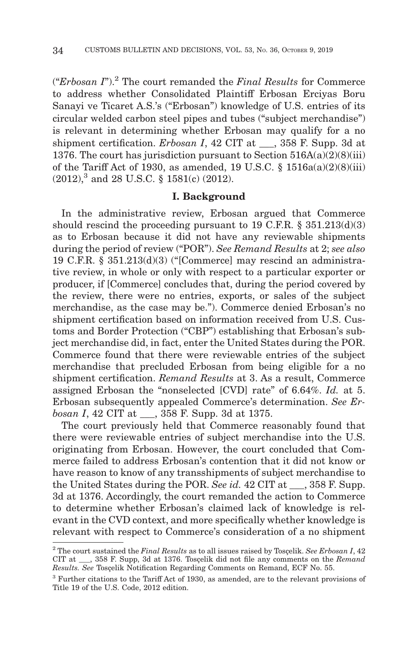("*Erbosan I*").2 The court remanded the *Final Results* for Commerce to address whether Consolidated Plaintiff Erbosan Erciyas Boru Sanayi ve Ticaret A.S.'s ("Erbosan") knowledge of U.S. entries of its circular welded carbon steel pipes and tubes ("subject merchandise") is relevant in determining whether Erbosan may qualify for a no shipment certification. *Erbosan I*, 42 CIT at  $\qquad$ , 358 F. Supp. 3d at 1376. The court has jurisdiction pursuant to Section  $516A(a)(2)(8)(iii)$ of the Tariff Act of 1930, as amended, 19 U.S.C. § 1516a(a)(2)(8)(iii) (2012),3 and 28 U.S.C. § 1581(c) (2012).

## **I. Background**

In the administrative review, Erbosan argued that Commerce should rescind the proceeding pursuant to 19 C.F.R.  $\S$  351.213(d)(3) as to Erbosan because it did not have any reviewable shipments during the period of review ("POR"). *See Remand Results* at 2; *see also* 19 C.F.R. § 351.213(d)(3) ("[Commerce] may rescind an administrative review, in whole or only with respect to a particular exporter or producer, if [Commerce] concludes that, during the period covered by the review, there were no entries, exports, or sales of the subject merchandise, as the case may be."). Commerce denied Erbosan's no shipment certification based on information received from U.S. Customs and Border Protection ("CBP") establishing that Erbosan's subject merchandise did, in fact, enter the United States during the POR. Commerce found that there were reviewable entries of the subject merchandise that precluded Erbosan from being eligible for a no shipment certification. *Remand Results* at 3. As a result, Commerce assigned Erbosan the "nonselected [CVD] rate" of 6.64%. *Id.* at 5. Erbosan subsequently appealed Commerce's determination. *See Erbosan I*, 42 CIT at \_\_\_, 358 F. Supp. 3d at 1375.

The court previously held that Commerce reasonably found that there were reviewable entries of subject merchandise into the U.S. originating from Erbosan. However, the court concluded that Commerce failed to address Erbosan's contention that it did not know or have reason to know of any transshipments of subject merchandise to the United States during the POR. *See id.* 42 CIT at \_\_\_, 358 F. Supp. 3d at 1376. Accordingly, the court remanded the action to Commerce to determine whether Erbosan's claimed lack of knowledge is relevant in the CVD context, and more specifically whether knowledge is relevant with respect to Commerce's consideration of a no shipment

<sup>2</sup> The court sustained the *Final Results* as to all issues raised by Tosçelik. *See Erbosan I*, 42 CIT at \_\_\_, 358 F. Supp, 3d at 1376. Tosçelik did not file any comments on the *Remand Results. See* Tosçelik Notification Regarding Comments on Remand, ECF No. 55.

<sup>3</sup> Further citations to the Tariff Act of 1930, as amended, are to the relevant provisions of Title 19 of the U.S. Code, 2012 edition.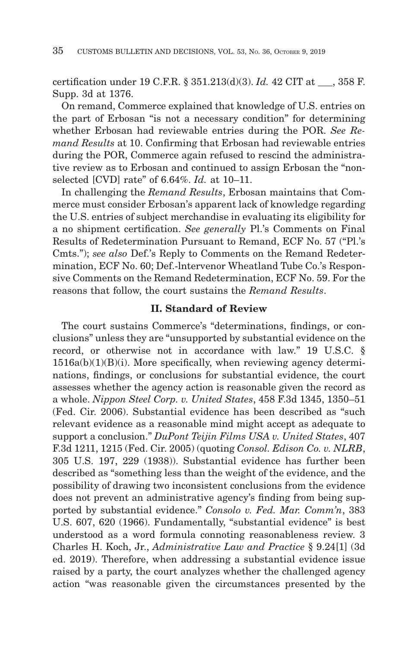certification under 19 C.F.R. § 351.213(d)(3). *Id.* 42 CIT at \_\_\_, 358 F. Supp. 3d at 1376.

On remand, Commerce explained that knowledge of U.S. entries on the part of Erbosan "is not a necessary condition" for determining whether Erbosan had reviewable entries during the POR. *See Remand Results* at 10. Confirming that Erbosan had reviewable entries during the POR, Commerce again refused to rescind the administrative review as to Erbosan and continued to assign Erbosan the "nonselected [CVD] rate" of 6.64%. *Id.* at 10–11.

In challenging the *Remand Results*, Erbosan maintains that Commerce must consider Erbosan's apparent lack of knowledge regarding the U.S. entries of subject merchandise in evaluating its eligibility for a no shipment certification. *See generally* Pl.'s Comments on Final Results of Redetermination Pursuant to Remand, ECF No. 57 ("Pl.'s Cmts."); *see also* Def.'s Reply to Comments on the Remand Redetermination, ECF No. 60; Def.-lntervenor Wheatland Tube Co.'s Responsive Comments on the Remand Redetermination, ECF No. 59. For the reasons that follow, the court sustains the *Remand Results*.

## **II. Standard of Review**

The court sustains Commerce's "determinations, findings, or conclusions" unless they are "unsupported by substantial evidence on the record, or otherwise not in accordance with law." 19 U.S.C. § 1516a(b)(1)(B)(i). More specifically, when reviewing agency determinations, findings, or conclusions for substantial evidence, the court assesses whether the agency action is reasonable given the record as a whole. *Nippon Steel Corp. v. United States*, 458 F.3d 1345, 1350–51 (Fed. Cir. 2006). Substantial evidence has been described as "such relevant evidence as a reasonable mind might accept as adequate to support a conclusion." *DuPont Teijin Films USA v. United States*, 407 F.3d 1211, 1215 (Fed. Cir. 2005) (quoting *Consol. Edison Co. v. NLRB*, 305 U.S. 197, 229 (1938)). Substantial evidence has further been described as "something less than the weight of the evidence, and the possibility of drawing two inconsistent conclusions from the evidence does not prevent an administrative agency's finding from being supported by substantial evidence." *Consolo v. Fed. Mar. Comm'n*, 383 U.S. 607, 620 (1966). Fundamentally, "substantial evidence" is best understood as a word formula connoting reasonableness review. 3 Charles H. Koch, Jr., *Administrative Law and Practice* § 9.24[1] (3d ed. 2019). Therefore, when addressing a substantial evidence issue raised by a party, the court analyzes whether the challenged agency action "was reasonable given the circumstances presented by the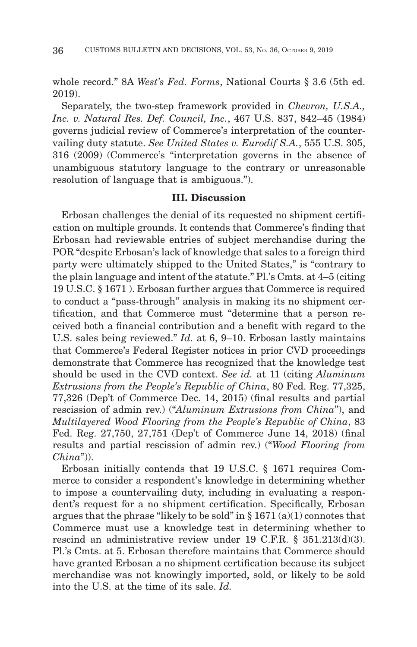whole record." 8A *West's Fed. Forms*, National Courts § 3.6 (5th ed. 2019).

Separately, the two-step framework provided in *Chevron, U.S.A., Inc. v. Natural Res. Def. Council, Inc.*, 467 U.S. 837, 842–45 (1984) governs judicial review of Commerce's interpretation of the countervailing duty statute. *See United States v. Eurodif S.A.*, 555 U.S. 305, 316 (2009) (Commerce's "interpretation governs in the absence of unambiguous statutory language to the contrary or unreasonable resolution of language that is ambiguous.").

## **III. Discussion**

Erbosan challenges the denial of its requested no shipment certification on multiple grounds. It contends that Commerce's finding that Erbosan had reviewable entries of subject merchandise during the POR "despite Erbosan's lack of knowledge that sales to a foreign third party were ultimately shipped to the United States," is "contrary to the plain language and intent of the statute." Pl.'s Cmts. at 4–5 (citing 19 U.S.C. § 1671 ). Erbosan further argues that Commerce is required to conduct a "pass-through" analysis in making its no shipment certification, and that Commerce must "determine that a person received both a financial contribution and a benefit with regard to the U.S. sales being reviewed." *Id.* at 6, 9–10. Erbosan lastly maintains that Commerce's Federal Register notices in prior CVD proceedings demonstrate that Commerce has recognized that the knowledge test should be used in the CVD context. *See id.* at 11 (citing *Aluminum Extrusions from the People's Republic of China*, 80 Fed. Reg. 77,325, 77,326 (Dep't of Commerce Dec. 14, 2015) (final results and partial rescission of admin rev.) ("*Aluminum Extrusions from China*"), and *Multilayered Wood Flooring from the People's Republic of China*, 83 Fed. Reg. 27,750, 27,751 (Dep't of Commerce June 14, 2018) (final results and partial rescission of admin rev.) ("*Wood Flooring from China*")).

Erbosan initially contends that 19 U.S.C. § 1671 requires Commerce to consider a respondent's knowledge in determining whether to impose a countervailing duty, including in evaluating a respondent's request for a no shipment certification. Specifically, Erbosan argues that the phrase "likely to be sold" in  $\S 1671(a)(1)$  connotes that Commerce must use a knowledge test in determining whether to rescind an administrative review under 19 C.F.R. § 351.213(d)(3). Pl.'s Cmts. at 5. Erbosan therefore maintains that Commerce should have granted Erbosan a no shipment certification because its subject merchandise was not knowingly imported, sold, or likely to be sold into the U.S. at the time of its sale. *Id.*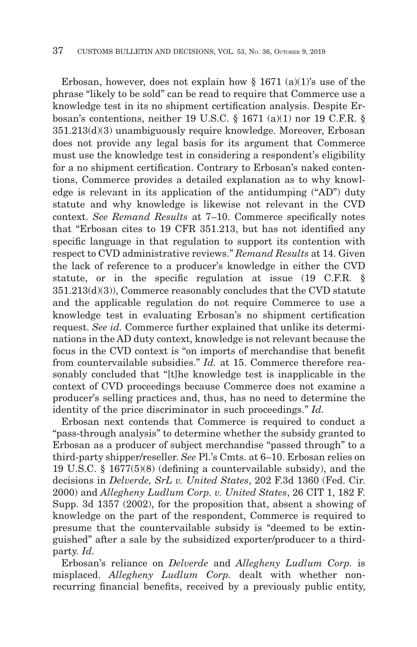Erbosan, however, does not explain how  $\S$  1671 (a)(1)'s use of the phrase "likely to be sold" can be read to require that Commerce use a knowledge test in its no shipment certification analysis. Despite Erbosan's contentions, neither 19 U.S.C. § 1671 (a)(1) nor 19 C.F.R. § 351.213(d)(3) unambiguously require knowledge. Moreover, Erbosan does not provide any legal basis for its argument that Commerce must use the knowledge test in considering a respondent's eligibility for a no shipment certification. Contrary to Erbosan's naked contentions, Commerce provides a detailed explanation as to why knowledge is relevant in its application of the antidumping ("AD") duty statute and why knowledge is likewise not relevant in the CVD context. *See Remand Results* at 7–10. Commerce specifically notes that "Erbosan cites to 19 CFR 351.213, but has not identified any specific language in that regulation to support its contention with respect to CVD administrative reviews." *Remand Results* at 14. Given the lack of reference to a producer's knowledge in either the CVD statute, or in the specific regulation at issue (19 C.F.R. § 351.213(d)(3)), Commerce reasonably concludes that the CVD statute and the applicable regulation do not require Commerce to use a knowledge test in evaluating Erbosan's no shipment certification request. *See id.* Commerce further explained that unlike its determinations in the AD duty context, knowledge is not relevant because the focus in the CVD context is "on imports of merchandise that benefit from countervailable subsidies." *Id.* at 15. Commerce therefore reasonably concluded that "[t]he knowledge test is inapplicable in the context of CVD proceedings because Commerce does not examine a producer's selling practices and, thus, has no need to determine the identity of the price discriminator in such proceedings." *Id.*

Erbosan next contends that Commerce is required to conduct a "pass-through analysis" to determine whether the subsidy granted to Erbosan as a producer of subject merchandise "passed through" to a third-party shipper/reseller. *See* Pl.'s Cmts. at 6–10. Erbosan relies on 19 U.S.C. § 1677(5)(8) (defining a countervailable subsidy), and the decisions in *Delverde, SrL v. United States*, 202 F.3d 1360 (Fed. Cir. 2000) and *Allegheny Ludlum Corp. v. United States*, 26 CIT 1, 182 F. Supp. 3d 1357 (2002), for the proposition that, absent a showing of knowledge on the part of the respondent, Commerce is required to presume that the countervailable subsidy is "deemed to be extinguished" after a sale by the subsidized exporter/producer to a thirdparty. *Id.*

Erbosan's reliance on *Delverde* and *Allegheny Ludlum Corp.* is misplaced. *Allegheny Ludlum Corp.* dealt with whether nonrecurring financial benefits, received by a previously public entity,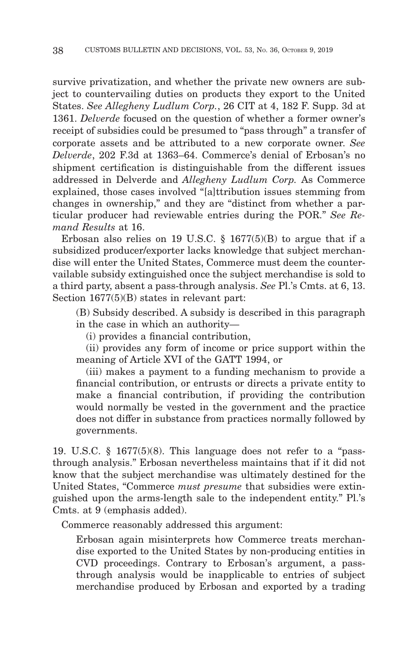survive privatization, and whether the private new owners are subject to countervailing duties on products they export to the United States. *See Allegheny Ludlum Corp.*, 26 CIT at 4, 182 F. Supp. 3d at 1361. *Delverde* focused on the question of whether a former owner's receipt of subsidies could be presumed to "pass through" a transfer of corporate assets and be attributed to a new corporate owner. *See Delverde*, 202 F.3d at 1363–64. Commerce's denial of Erbosan's no shipment certification is distinguishable from the different issues addressed in Delverde and *Allegheny Ludlum Corp.* As Commerce explained, those cases involved "[a]ttribution issues stemming from changes in ownership," and they are "distinct from whether a particular producer had reviewable entries during the POR." *See Remand Results* at 16.

Erbosan also relies on 19 U.S.C.  $\S$  1677(5)(B) to argue that if a subsidized producer/exporter lacks knowledge that subject merchandise will enter the United States, Commerce must deem the countervailable subsidy extinguished once the subject merchandise is sold to a third party, absent a pass-through analysis. *See* Pl.'s Cmts. at 6, 13. Section 1677(5)(B) states in relevant part:

(B) Subsidy described. A subsidy is described in this paragraph in the case in which an authority—

(i) provides a financial contribution,

 (ii) provides any form of income or price support within the meaning of Article XVI of the GATT 1994, or

 (iii) makes a payment to a funding mechanism to provide a financial contribution, or entrusts or directs a private entity to make a financial contribution, if providing the contribution would normally be vested in the government and the practice does not differ in substance from practices normally followed by governments.

19. U.S.C. § 1677(5)(8). This language does not refer to a "passthrough analysis." Erbosan nevertheless maintains that if it did not know that the subject merchandise was ultimately destined for the United States, "Commerce *must presume* that subsidies were extinguished upon the arms-length sale to the independent entity." Pl.'s Cmts. at 9 (emphasis added).

Commerce reasonably addressed this argument:

Erbosan again misinterprets how Commerce treats merchandise exported to the United States by non-producing entities in CVD proceedings. Contrary to Erbosan's argument, a passthrough analysis would be inapplicable to entries of subject merchandise produced by Erbosan and exported by a trading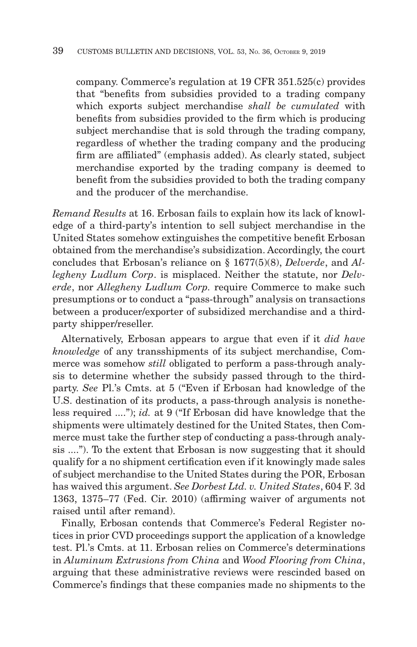company. Commerce's regulation at 19 CFR 351.525(c) provides that "benefits from subsidies provided to a trading company which exports subject merchandise *shall be cumulated* with benefits from subsidies provided to the firm which is producing subject merchandise that is sold through the trading company, regardless of whether the trading company and the producing firm are affiliated" (emphasis added). As clearly stated, subject merchandise exported by the trading company is deemed to benefit from the subsidies provided to both the trading company and the producer of the merchandise.

*Remand Results* at 16. Erbosan fails to explain how its lack of knowledge of a third-party's intention to sell subject merchandise in the United States somehow extinguishes the competitive benefit Erbosan obtained from the merchandise's subsidization. Accordingly, the court concludes that Erbosan's reliance on § 1677(5)(8), *Delverde*, and *Allegheny Ludlum Corp*. is misplaced. Neither the statute, nor *Delverde*, nor *Allegheny Ludlum Corp.* require Commerce to make such presumptions or to conduct a "pass-through" analysis on transactions between a producer/exporter of subsidized merchandise and a thirdparty shipper/reseller.

Alternatively, Erbosan appears to argue that even if it *did have knowledge* of any transshipments of its subject merchandise, Commerce was somehow *still* obligated to perform a pass-through analysis to determine whether the subsidy passed through to the thirdparty. *See* Pl.'s Cmts. at 5 ("Even if Erbosan had knowledge of the U.S. destination of its products, a pass-through analysis is nonetheless required ...."); *id.* at 9 ("If Erbosan did have knowledge that the shipments were ultimately destined for the United States, then Commerce must take the further step of conducting a pass-through analysis ...."). To the extent that Erbosan is now suggesting that it should qualify for a no shipment certification even if it knowingly made sales of subject merchandise to the United States during the POR, Erbosan has waived this argument. *See Dorbest Ltd. v. United States*, 604 F. 3d 1363, 1375–77 (Fed. Cir. 2010) (affirming waiver of arguments not raised until after remand).

Finally, Erbosan contends that Commerce's Federal Register notices in prior CVD proceedings support the application of a knowledge test. Pl.'s Cmts. at 11. Erbosan relies on Commerce's determinations in *Aluminum Extrusions from China* and *Wood Flooring from China*, arguing that these administrative reviews were rescinded based on Commerce's findings that these companies made no shipments to the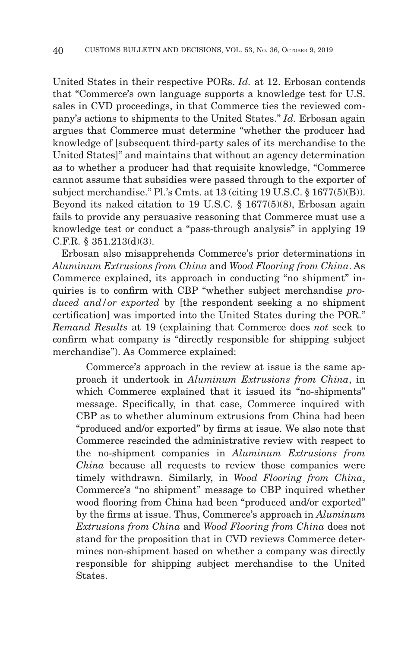United States in their respective PORs. *Id.* at 12. Erbosan contends that "Commerce's own language supports a knowledge test for U.S. sales in CVD proceedings, in that Commerce ties the reviewed company's actions to shipments to the United States." *Id.* Erbosan again argues that Commerce must determine "whether the producer had knowledge of [subsequent third-party sales of its merchandise to the United States]" and maintains that without an agency determination as to whether a producer had that requisite knowledge, "Commerce cannot assume that subsidies were passed through to the exporter of subject merchandise." Pl.'s Cmts. at 13 (citing 19 U.S.C. § 1677(5)(B)). Beyond its naked citation to 19 U.S.C. § 1677(5)(8), Erbosan again fails to provide any persuasive reasoning that Commerce must use a knowledge test or conduct a "pass-through analysis" in applying 19 C.F.R. § 351.213(d)(3).

Erbosan also misapprehends Commerce's prior determinations in *Aluminum Extrusions from China* and *Wood Flooring from China*. As Commerce explained, its approach in conducting "no shipment" inquiries is to confirm with CBP "whether subject merchandise *produced and/or exported* by [the respondent seeking a no shipment certification] was imported into the United States during the POR." *Remand Results* at 19 (explaining that Commerce does *not* seek to confirm what company is "directly responsible for shipping subject merchandise"). As Commerce explained:

 Commerce's approach in the review at issue is the same approach it undertook in *Aluminum Extrusions from China*, in which Commerce explained that it issued its "no-shipments" message. Specifically, in that case, Commerce inquired with CBP as to whether aluminum extrusions from China had been "produced and/or exported" by firms at issue. We also note that Commerce rescinded the administrative review with respect to the no-shipment companies in *Aluminum Extrusions from China* because all requests to review those companies were timely withdrawn. Similarly, in *Wood Flooring from China*, Commerce's "no shipment" message to CBP inquired whether wood flooring from China had been "produced and/or exported" by the firms at issue. Thus, Commerce's approach in *Aluminum Extrusions from China* and *Wood Flooring from China* does not stand for the proposition that in CVD reviews Commerce determines non-shipment based on whether a company was directly responsible for shipping subject merchandise to the United States.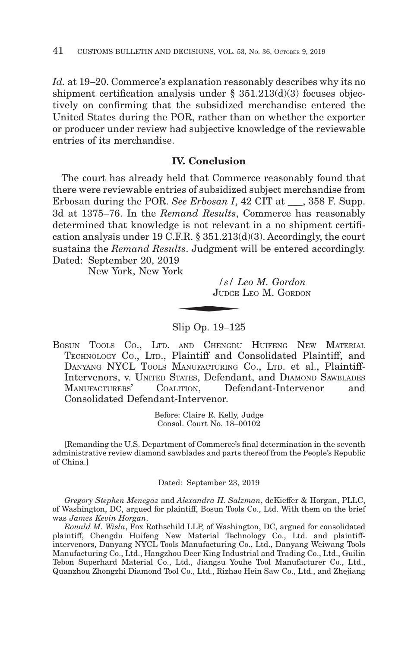*Id.* at 19–20. Commerce's explanation reasonably describes why its no shipment certification analysis under § 351.213(d)(3) focuses objectively on confirming that the subsidized merchandise entered the United States during the POR, rather than on whether the exporter or producer under review had subjective knowledge of the reviewable entries of its merchandise.

# **IV. Conclusion**

The court has already held that Commerce reasonably found that there were reviewable entries of subsidized subject merchandise from Erbosan during the POR. *See Erbosan I*, 42 CIT at  $\qquad$ , 358 F. Supp. 3d at 1375–76. In the *Remand Results*, Commerce has reasonably determined that knowledge is not relevant in a no shipment certification analysis under 19 C.F.R. § 351.213(d)(3). Accordingly, the court sustains the *Remand Results*. Judgment will be entered accordingly.<br>Dated: September 20, 2019<br>New York, New York<br>*Si Leo M. Gordon*<br>JUDGE LEO M. GORDON Dated: September 20, 2019

New York, New York

*/s/ Leo M. Gordon* JUDGE LEO M. GORDON

Slip Op. 19–125

BOSUN TOOLS CO., LTD. AND CHENGDU HUIFENG NEW MATERIAL TECHNOLOGY CO., LTD., Plaintiff and Consolidated Plaintiff, and DANYANG NYCL TOOLS MANUFACTURING CO., LTD. et al., Plaintiff-Intervenors, v. UNITED STATES, Defendant, and DIAMOND SAWBLADES<br>MANUFACTURERS' COALITION. Defendant-Intervenor and COALITION, Defendant-Intervenor and Consolidated Defendant-Intervenor.

> Before: Claire R. Kelly, Judge Consol. Court No. 18–00102

[Remanding the U.S. Department of Commerce's final determination in the seventh administrative review diamond sawblades and parts thereof from the People's Republic of China.]

Dated: September 23, 2019

*Gregory Stephen Menegaz* and *Alexandra H. Salzman*, deKieffer & Horgan, PLLC, of Washington, DC, argued for plaintiff, Bosun Tools Co., Ltd. With them on the brief was *James Kevin Horgan*.

*Ronald M. Wisla*, Fox Rothschild LLP, of Washington, DC, argued for consolidated plaintiff, Chengdu Huifeng New Material Technology Co., Ltd. and plaintiffintervenors, Danyang NYCL Tools Manufacturing Co., Ltd., Danyang Weiwang Tools Manufacturing Co., Ltd., Hangzhou Deer King Industrial and Trading Co., Ltd., Guilin Tebon Superhard Material Co., Ltd., Jiangsu Youhe Tool Manufacturer Co., Ltd., Quanzhou Zhongzhi Diamond Tool Co., Ltd., Rizhao Hein Saw Co., Ltd., and Zhejiang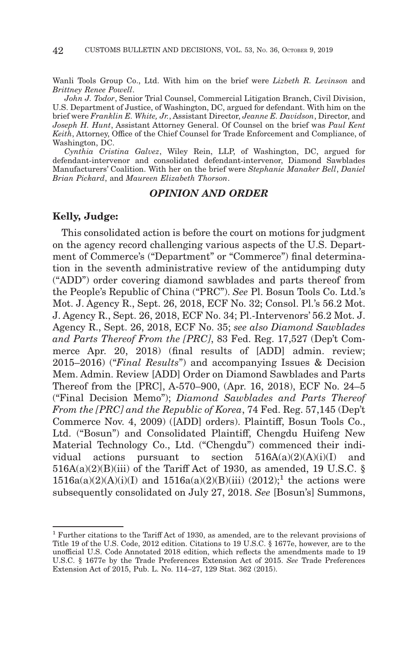Wanli Tools Group Co., Ltd. With him on the brief were *Lizbeth R. Levinson* and *Brittney Renee Powell*.

*John J. Todor*, Senior Trial Counsel, Commercial Litigation Branch, Civil Division, U.S. Department of Justice, of Washington, DC, argued for defendant. With him on the brief were *Franklin E. White, Jr.*, Assistant Director, *Jeanne E. Davidson*, Director, and *Joseph H. Hunt*, Assistant Attorney General. Of Counsel on the brief was *Paul Kent Keith*, Attorney, Office of the Chief Counsel for Trade Enforcement and Compliance, of Washington, DC.

*Cynthia Cristina Galvez*, Wiley Rein, LLP, of Washington, DC, argued for defendant-intervenor and consolidated defendant-intervenor, Diamond Sawblades Manufacturers' Coalition. With her on the brief were *Stephanie Manaker Bell*, *Daniel Brian Pickard*, and *Maureen Elizabeth Thorson*.

## *OPINION AND ORDER*

## **Kelly, Judge:**

This consolidated action is before the court on motions for judgment on the agency record challenging various aspects of the U.S. Department of Commerce's ("Department" or "Commerce") final determination in the seventh administrative review of the antidumping duty ("ADD") order covering diamond sawblades and parts thereof from the People's Republic of China ("PRC"). *See* Pl. Bosun Tools Co. Ltd.'s Mot. J. Agency R., Sept. 26, 2018, ECF No. 32; Consol. Pl.'s 56.2 Mot. J. Agency R., Sept. 26, 2018, ECF No. 34; Pl.-Intervenors' 56.2 Mot. J. Agency R., Sept. 26, 2018, ECF No. 35; *see also Diamond Sawblades and Parts Thereof From the [PRC]*, 83 Fed. Reg. 17,527 (Dep't Commerce Apr. 20, 2018) (final results of [ADD] admin. review; 2015–2016) ("*Final Results*") and accompanying Issues & Decision Mem. Admin. Review [ADD] Order on Diamond Sawblades and Parts Thereof from the [PRC], A-570–900, (Apr. 16, 2018), ECF No. 24–5 ("Final Decision Memo"); *Diamond Sawblades and Parts Thereof From the [PRC] and the Republic of Korea*, 74 Fed. Reg. 57,145 (Dep't Commerce Nov. 4, 2009) ([ADD] orders). Plaintiff, Bosun Tools Co., Ltd. ("Bosun") and Consolidated Plaintiff, Chengdu Huifeng New Material Technology Co., Ltd. ("Chengdu") commenced their individual actions pursuant to section 516A(a)(2)(A)(i)(I) and  $516A(a)(2)(B)(iii)$  of the Tariff Act of 1930, as amended, 19 U.S.C. §  $1516a(a)(2)(A)(i)(I)$  and  $1516a(a)(2)(B)(iii)$  (2012);<sup>1</sup> the actions were subsequently consolidated on July 27, 2018. *See* [Bosun's] Summons,

<sup>1</sup> Further citations to the Tariff Act of 1930, as amended, are to the relevant provisions of Title 19 of the U.S. Code, 2012 edition. Citations to 19 U.S.C. § 1677e, however, are to the unofficial U.S. Code Annotated 2018 edition, which reflects the amendments made to 19 U.S.C. § 1677e by the Trade Preferences Extension Act of 2015. *See* Trade Preferences Extension Act of 2015, Pub. L. No. 114–27, 129 Stat. 362 (2015).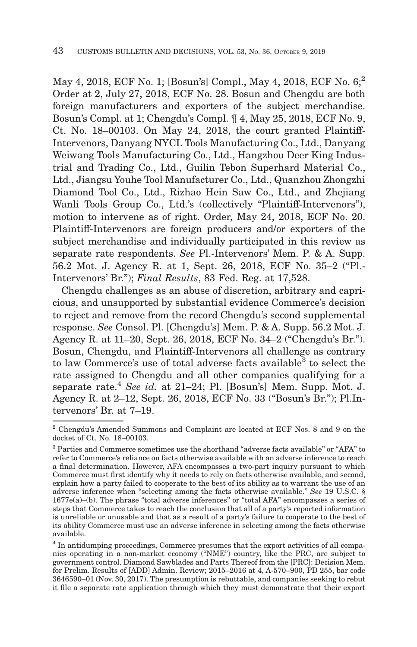May 4, 2018, ECF No. 1; [Bosun's] Compl., May 4, 2018, ECF No. 6;<sup>2</sup> Order at 2, July 27, 2018, ECF No. 28. Bosun and Chengdu are both foreign manufacturers and exporters of the subject merchandise. Bosun's Compl. at 1; Chengdu's Compl. ¶ 4, May 25, 2018, ECF No. 9, Ct. No. 18–00103. On May 24, 2018, the court granted Plaintiff-Intervenors, Danyang NYCL Tools Manufacturing Co., Ltd., Danyang Weiwang Tools Manufacturing Co., Ltd., Hangzhou Deer King Industrial and Trading Co., Ltd., Guilin Tebon Superhard Material Co., Ltd., Jiangsu Youhe Tool Manufacturer Co., Ltd., Quanzhou Zhongzhi Diamond Tool Co., Ltd., Rizhao Hein Saw Co., Ltd., and Zhejiang Wanli Tools Group Co., Ltd.'s (collectively "Plaintiff-Intervenors"), motion to intervene as of right. Order, May 24, 2018, ECF No. 20. Plaintiff-Intervenors are foreign producers and/or exporters of the subject merchandise and individually participated in this review as separate rate respondents. *See* Pl.-Intervenors' Mem. P. & A. Supp. 56.2 Mot. J. Agency R. at 1, Sept. 26, 2018, ECF No. 35–2 ("Pl.- Intervenors' Br."); *Final Results*, 83 Fed. Reg. at 17,528.

Chengdu challenges as an abuse of discretion, arbitrary and capricious, and unsupported by substantial evidence Commerce's decision to reject and remove from the record Chengdu's second supplemental response. *See* Consol. Pl. [Chengdu's] Mem. P. & A. Supp. 56.2 Mot. J. Agency R. at 11–20, Sept. 26, 2018, ECF No. 34–2 ("Chengdu's Br."). Bosun, Chengdu, and Plaintiff-Intervenors all challenge as contrary to law Commerce's use of total adverse facts available<sup>3</sup> to select the rate assigned to Chengdu and all other companies qualifying for a separate rate.4 *See id.* at 21–24; Pl. [Bosun's] Mem. Supp. Mot. J. Agency R. at 2–12, Sept. 26, 2018, ECF No. 33 ("Bosun's Br."); Pl.Intervenors' Br. at 7–19.

<sup>2</sup> Chengdu's Amended Summons and Complaint are located at ECF Nos. 8 and 9 on the docket of Ct. No. 18–00103.

<sup>3</sup> Parties and Commerce sometimes use the shorthand "adverse facts available" or "AFA" to refer to Commerce's reliance on facts otherwise available with an adverse inference to reach a final determination. However, AFA encompasses a two-part inquiry pursuant to which Commerce must first identify why it needs to rely on facts otherwise available, and second, explain how a party failed to cooperate to the best of its ability as to warrant the use of an adverse inference when "selecting among the facts otherwise available." *See* 19 U.S.C. § 1677e(a)–(b). The phrase "total adverse inferences" or "total AFA" encompasses a series of steps that Commerce takes to reach the conclusion that all of a party's reported information is unreliable or unusable and that as a result of a party's failure to cooperate to the best of its ability Commerce must use an adverse inference in selecting among the facts otherwise available.

<sup>4</sup> In antidumping proceedings, Commerce presumes that the export activities of all companies operating in a non-market economy ("NME") country, like the PRC, are subject to government control. Diamond Sawblades and Parts Thereof from the [PRC]: Decision Mem. for Prelim. Results of [ADD] Admin. Review; 2015–2016 at 4, A-570–900, PD 255, bar code 3646590–01 (Nov. 30, 2017). The presumption is rebuttable, and companies seeking to rebut it file a separate rate application through which they must demonstrate that their export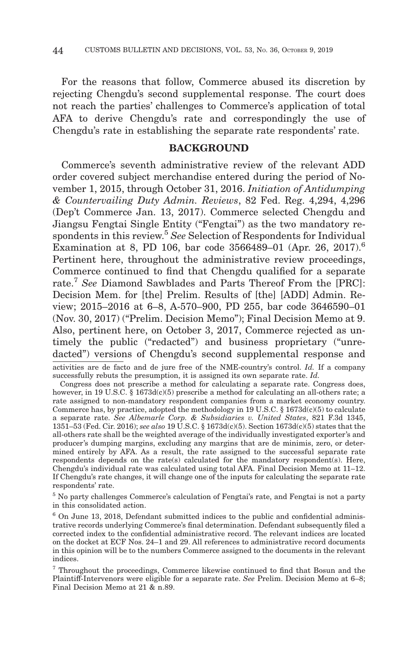For the reasons that follow, Commerce abused its discretion by rejecting Chengdu's second supplemental response. The court does not reach the parties' challenges to Commerce's application of total AFA to derive Chengdu's rate and correspondingly the use of Chengdu's rate in establishing the separate rate respondents' rate.

## **BACKGROUND**

Commerce's seventh administrative review of the relevant ADD order covered subject merchandise entered during the period of November 1, 2015, through October 31, 2016. *Initiation of Antidumping & Countervailing Duty Admin. Reviews*, 82 Fed. Reg. 4,294, 4,296 (Dep't Commerce Jan. 13, 2017). Commerce selected Chengdu and Jiangsu Fengtai Single Entity ("Fengtai") as the two mandatory respondents in this review.5 *See* Selection of Respondents for Individual Examination at 8, PD 106, bar code 3566489–01 (Apr. 26, 2017).<sup>6</sup> Pertinent here, throughout the administrative review proceedings, Commerce continued to find that Chengdu qualified for a separate rate.7 *See* Diamond Sawblades and Parts Thereof From the [PRC]: Decision Mem. for [the] Prelim. Results of [the] [ADD] Admin. Review; 2015–2016 at 6–8, A-570–900, PD 255, bar code 3646590–01 (Nov. 30, 2017) ("Prelim. Decision Memo"); Final Decision Memo at 9. Also, pertinent here, on October 3, 2017, Commerce rejected as untimely the public ("redacted") and business proprietary ("unredacted") versions of Chengdu's second supplemental response and

activities are de facto and de jure free of the NME-country's control. *Id.* If a company successfully rebuts the presumption, it is assigned its own separate rate. *Id.*

Congress does not prescribe a method for calculating a separate rate. Congress does, however, in 19 U.S.C. § 1673d(c)(5) prescribe a method for calculating an all-others rate; a rate assigned to non-mandatory respondent companies from a market economy country. Commerce has, by practice, adopted the methodology in 19 U.S.C.  $\S$  1673d(c)(5) to calculate a separate rate. *See Albemarle Corp. & Subsidiaries v. United States*, 821 F.3d 1345, 1351–53 (Fed. Cir. 2016); *see also* 19 U.S.C. § 1673d(c)(5). Section 1673d(c)(5) states that the all-others rate shall be the weighted average of the individually investigated exporter's and producer's dumping margins, excluding any margins that are de minimis, zero, or determined entirely by AFA. As a result, the rate assigned to the successful separate rate respondents depends on the rate(s) calculated for the mandatory respondent(s). Here, Chengdu's individual rate was calculated using total AFA. Final Decision Memo at 11–12. If Chengdu's rate changes, it will change one of the inputs for calculating the separate rate respondents' rate.

5 No party challenges Commerce's calculation of Fengtai's rate, and Fengtai is not a party in this consolidated action.

 $6$  On June 13, 2018, Defendant submitted indices to the public and confidential administrative records underlying Commerce's final determination. Defendant subsequently filed a corrected index to the confidential administrative record. The relevant indices are located on the docket at ECF Nos. 24–1 and 29. All references to administrative record documents in this opinion will be to the numbers Commerce assigned to the documents in the relevant indices.

7 Throughout the proceedings, Commerce likewise continued to find that Bosun and the Plaintiff-Intervenors were eligible for a separate rate. *See* Prelim. Decision Memo at 6–8; Final Decision Memo at 21 & n.89.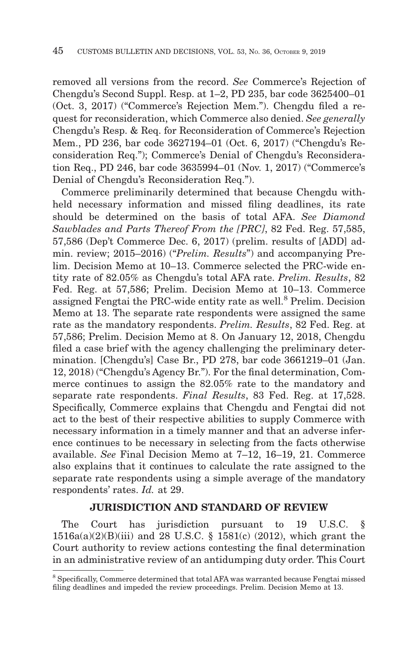removed all versions from the record. *See* Commerce's Rejection of Chengdu's Second Suppl. Resp. at 1–2, PD 235, bar code 3625400–01 (Oct. 3, 2017) ("Commerce's Rejection Mem."). Chengdu filed a request for reconsideration, which Commerce also denied. *See generally* Chengdu's Resp. & Req. for Reconsideration of Commerce's Rejection Mem., PD 236, bar code 3627194–01 (Oct. 6, 2017) ("Chengdu's Reconsideration Req."); Commerce's Denial of Chengdu's Reconsideration Req., PD 246, bar code 3635994–01 (Nov. 1, 2017) ("Commerce's Denial of Chengdu's Reconsideration Req.").

Commerce preliminarily determined that because Chengdu withheld necessary information and missed filing deadlines, its rate should be determined on the basis of total AFA. *See Diamond Sawblades and Parts Thereof From the [PRC]*, 82 Fed. Reg. 57,585, 57,586 (Dep't Commerce Dec. 6, 2017) (prelim. results of [ADD] admin. review; 2015–2016) ("*Prelim. Results*") and accompanying Prelim. Decision Memo at 10–13. Commerce selected the PRC-wide entity rate of 82.05% as Chengdu's total AFA rate. *Prelim. Results*, 82 Fed. Reg. at 57,586; Prelim. Decision Memo at 10–13. Commerce assigned Fengtai the PRC-wide entity rate as well.8 Prelim. Decision Memo at 13. The separate rate respondents were assigned the same rate as the mandatory respondents. *Prelim. Results*, 82 Fed. Reg. at 57,586; Prelim. Decision Memo at 8. On January 12, 2018, Chengdu filed a case brief with the agency challenging the preliminary determination. [Chengdu's] Case Br., PD 278, bar code 3661219–01 (Jan. 12, 2018) ("Chengdu's Agency Br."). For the final determination, Commerce continues to assign the 82.05% rate to the mandatory and separate rate respondents. *Final Results*, 83 Fed. Reg. at 17,528. Specifically, Commerce explains that Chengdu and Fengtai did not act to the best of their respective abilities to supply Commerce with necessary information in a timely manner and that an adverse inference continues to be necessary in selecting from the facts otherwise available. *See* Final Decision Memo at 7–12, 16–19, 21. Commerce also explains that it continues to calculate the rate assigned to the separate rate respondents using a simple average of the mandatory respondents' rates. *Id.* at 29.

## **JURISDICTION AND STANDARD OF REVIEW**

The Court has jurisdiction pursuant to 19 U.S.C. § 1516a(a)(2)(B)(iii) and 28 U.S.C. § 1581(c) (2012), which grant the Court authority to review actions contesting the final determination in an administrative review of an antidumping duty order. This Court

<sup>8</sup> Specifically, Commerce determined that total AFA was warranted because Fengtai missed filing deadlines and impeded the review proceedings. Prelim. Decision Memo at 13.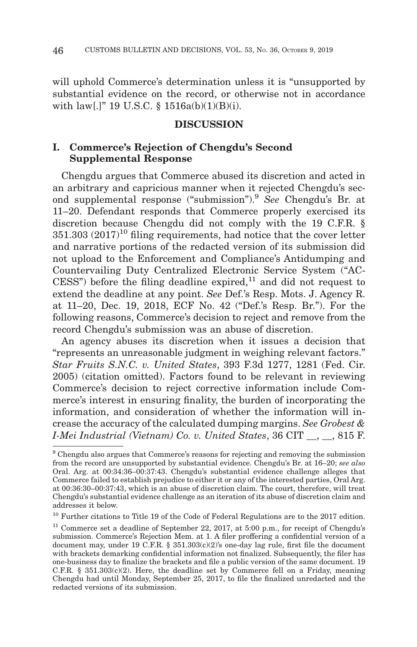will uphold Commerce's determination unless it is "unsupported by substantial evidence on the record, or otherwise not in accordance with law[.]" 19 U.S.C. § 1516a(b)(1)(B)(i).

## **DISCUSSION**

# **I. Commerce's Rejection of Chengdu's Second Supplemental Response**

Chengdu argues that Commerce abused its discretion and acted in an arbitrary and capricious manner when it rejected Chengdu's second supplemental response ("submission").9 *See* Chengdu's Br. at 11–20. Defendant responds that Commerce properly exercised its discretion because Chengdu did not comply with the 19 C.F.R. §  $351.303$   $(2017)^{10}$  filing requirements, had notice that the cover letter and narrative portions of the redacted version of its submission did not upload to the Enforcement and Compliance's Antidumping and Countervailing Duty Centralized Electronic Service System ("AC- $CESS$ ") before the filing deadline expired, $^{11}$  and did not request to extend the deadline at any point. *See* Def.'s Resp. Mots. J. Agency R. at 11–20, Dec. 19, 2018, ECF No. 42 ("Def.'s Resp. Br."). For the following reasons, Commerce's decision to reject and remove from the record Chengdu's submission was an abuse of discretion.

An agency abuses its discretion when it issues a decision that "represents an unreasonable judgment in weighing relevant factors." *Star Fruits S.N.C. v. United States*, 393 F.3d 1277, 1281 (Fed. Cir. 2005) (citation omitted). Factors found to be relevant in reviewing Commerce's decision to reject corrective information include Commerce's interest in ensuring finality, the burden of incorporating the information, and consideration of whether the information will increase the accuracy of the calculated dumping margins. *See Grobest & I-Mei Industrial (Vietnam) Co. v. United States*, 36 CIT \_\_, \_\_, 815 F.

<sup>9</sup> Chengdu also argues that Commerce's reasons for rejecting and removing the submission from the record are unsupported by substantial evidence. Chengdu's Br. at 16–20; *see also* Oral. Arg. at 00:34:36–00:37:43. Chengdu's substantial evidence challenge alleges that Commerce failed to establish prejudice to either it or any of the interested parties, Oral Arg. at 00:36:30–00:37:43, which is an abuse of discretion claim. The court, therefore, will treat Chengdu's substantial evidence challenge as an iteration of its abuse of discretion claim and addresses it below.

 $^{10}$  Further citations to Title 19 of the Code of Federal Regulations are to the 2017 edition.

<sup>&</sup>lt;sup>11</sup> Commerce set a deadline of September 22, 2017, at 5:00 p.m., for receipt of Chengdu's submission. Commerce's Rejection Mem. at 1. A filer proffering a confidential version of a document may, under 19 C.F.R.  $\S$  351.303(c)(2)'s one-day lag rule, first file the document with brackets demarking confidential information not finalized. Subsequently, the filer has one-business day to finalize the brackets and file a public version of the same document. 19 C.F.R.  $\S$  351.303(c)(2). Here, the deadline set by Commerce fell on a Friday, meaning Chengdu had until Monday, September 25, 2017, to file the finalized unredacted and the redacted versions of its submission.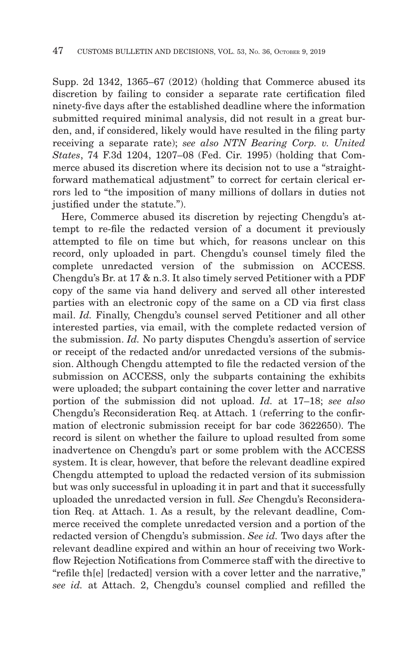Supp. 2d 1342, 1365–67 (2012) (holding that Commerce abused its discretion by failing to consider a separate rate certification filed ninety-five days after the established deadline where the information submitted required minimal analysis, did not result in a great burden, and, if considered, likely would have resulted in the filing party receiving a separate rate); *see also NTN Bearing Corp. v. United States*, 74 F.3d 1204, 1207–08 (Fed. Cir. 1995) (holding that Commerce abused its discretion where its decision not to use a "straightforward mathematical adjustment" to correct for certain clerical errors led to "the imposition of many millions of dollars in duties not justified under the statute.").

Here, Commerce abused its discretion by rejecting Chengdu's attempt to re-file the redacted version of a document it previously attempted to file on time but which, for reasons unclear on this record, only uploaded in part. Chengdu's counsel timely filed the complete unredacted version of the submission on ACCESS. Chengdu's Br. at 17 & n.3. It also timely served Petitioner with a PDF copy of the same via hand delivery and served all other interested parties with an electronic copy of the same on a CD via first class mail. *Id.* Finally, Chengdu's counsel served Petitioner and all other interested parties, via email, with the complete redacted version of the submission. *Id.* No party disputes Chengdu's assertion of service or receipt of the redacted and/or unredacted versions of the submission. Although Chengdu attempted to file the redacted version of the submission on ACCESS, only the subparts containing the exhibits were uploaded; the subpart containing the cover letter and narrative portion of the submission did not upload. *Id.* at 17–18; *see also* Chengdu's Reconsideration Req. at Attach. 1 (referring to the confirmation of electronic submission receipt for bar code 3622650). The record is silent on whether the failure to upload resulted from some inadvertence on Chengdu's part or some problem with the ACCESS system. It is clear, however, that before the relevant deadline expired Chengdu attempted to upload the redacted version of its submission but was only successful in uploading it in part and that it successfully uploaded the unredacted version in full. *See* Chengdu's Reconsideration Req. at Attach. 1. As a result, by the relevant deadline, Commerce received the complete unredacted version and a portion of the redacted version of Chengdu's submission. *See id.* Two days after the relevant deadline expired and within an hour of receiving two Workflow Rejection Notifications from Commerce staff with the directive to "refile th[e] [redacted] version with a cover letter and the narrative," *see id.* at Attach. 2, Chengdu's counsel complied and refilled the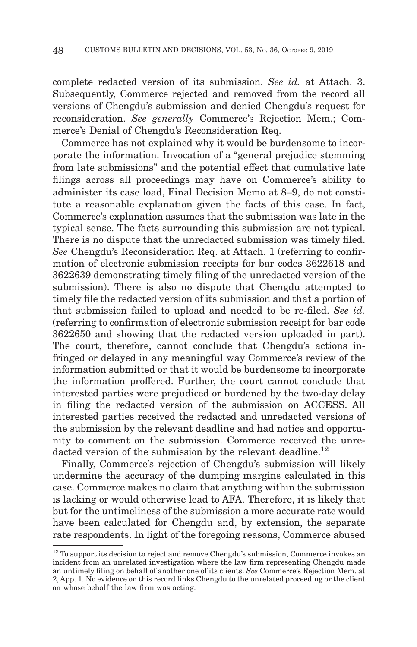complete redacted version of its submission. *See id.* at Attach. 3. Subsequently, Commerce rejected and removed from the record all versions of Chengdu's submission and denied Chengdu's request for reconsideration. *See generally* Commerce's Rejection Mem.; Commerce's Denial of Chengdu's Reconsideration Req.

Commerce has not explained why it would be burdensome to incorporate the information. Invocation of a "general prejudice stemming from late submissions" and the potential effect that cumulative late filings across all proceedings may have on Commerce's ability to administer its case load, Final Decision Memo at 8–9, do not constitute a reasonable explanation given the facts of this case. In fact, Commerce's explanation assumes that the submission was late in the typical sense. The facts surrounding this submission are not typical. There is no dispute that the unredacted submission was timely filed. *See* Chengdu's Reconsideration Req. at Attach. 1 (referring to confirmation of electronic submission receipts for bar codes 3622618 and 3622639 demonstrating timely filing of the unredacted version of the submission). There is also no dispute that Chengdu attempted to timely file the redacted version of its submission and that a portion of that submission failed to upload and needed to be re-filed. *See id.* (referring to confirmation of electronic submission receipt for bar code 3622650 and showing that the redacted version uploaded in part). The court, therefore, cannot conclude that Chengdu's actions infringed or delayed in any meaningful way Commerce's review of the information submitted or that it would be burdensome to incorporate the information proffered. Further, the court cannot conclude that interested parties were prejudiced or burdened by the two-day delay in filing the redacted version of the submission on ACCESS. All interested parties received the redacted and unredacted versions of the submission by the relevant deadline and had notice and opportunity to comment on the submission. Commerce received the unredacted version of the submission by the relevant deadline.<sup>12</sup>

Finally, Commerce's rejection of Chengdu's submission will likely undermine the accuracy of the dumping margins calculated in this case. Commerce makes no claim that anything within the submission is lacking or would otherwise lead to AFA. Therefore, it is likely that but for the untimeliness of the submission a more accurate rate would have been calculated for Chengdu and, by extension, the separate rate respondents. In light of the foregoing reasons, Commerce abused

 $12$  To support its decision to reject and remove Chengdu's submission, Commerce invokes an incident from an unrelated investigation where the law firm representing Chengdu made an untimely filing on behalf of another one of its clients. *See* Commerce's Rejection Mem. at 2, App. 1. No evidence on this record links Chengdu to the unrelated proceeding or the client on whose behalf the law firm was acting.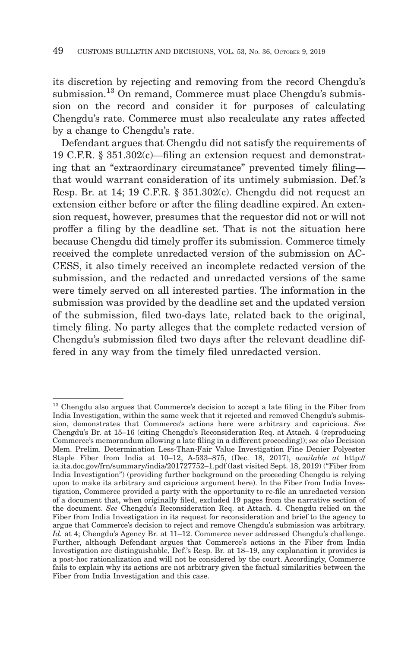its discretion by rejecting and removing from the record Chengdu's submission.<sup>13</sup> On remand, Commerce must place Chengdu's submission on the record and consider it for purposes of calculating Chengdu's rate. Commerce must also recalculate any rates affected by a change to Chengdu's rate.

Defendant argues that Chengdu did not satisfy the requirements of 19 C.F.R. § 351.302(c)—filing an extension request and demonstrating that an "extraordinary circumstance" prevented timely filing that would warrant consideration of its untimely submission. Def.'s Resp. Br. at 14; 19 C.F.R. § 351.302(c). Chengdu did not request an extension either before or after the filing deadline expired. An extension request, however, presumes that the requestor did not or will not proffer a filing by the deadline set. That is not the situation here because Chengdu did timely proffer its submission. Commerce timely received the complete unredacted version of the submission on AC-CESS, it also timely received an incomplete redacted version of the submission, and the redacted and unredacted versions of the same were timely served on all interested parties. The information in the submission was provided by the deadline set and the updated version of the submission, filed two-days late, related back to the original, timely filing. No party alleges that the complete redacted version of Chengdu's submission filed two days after the relevant deadline differed in any way from the timely filed unredacted version.

<sup>&</sup>lt;sup>13</sup> Chengdu also argues that Commerce's decision to accept a late filing in the Fiber from India Investigation, within the same week that it rejected and removed Chengdu's submission, demonstrates that Commerce's actions here were arbitrary and capricious. *See* Chengdu's Br. at 15–16 (citing Chengdu's Reconsideration Req. at Attach. 4 (reproducing Commerce's memorandum allowing a late filing in a different proceeding)); *see also* Decision Mem. Prelim. Determination Less-Than-Fair Value Investigation Fine Denier Polyester Staple Fiber from India at 10–12, A-533–875, (Dec. 18, 2017), *available at* http:// ia.ita.doc.gov/frn/summary/india/201727752–1.pdf (last visited Sept. 18, 2019) ("Fiber from India Investigation") (providing further background on the proceeding Chengdu is relying upon to make its arbitrary and capricious argument here). In the Fiber from India Investigation, Commerce provided a party with the opportunity to re-file an unredacted version of a document that, when originally filed, excluded 19 pages from the narrative section of the document. *See* Chengdu's Reconsideration Req. at Attach. 4. Chengdu relied on the Fiber from India Investigation in its request for reconsideration and brief to the agency to argue that Commerce's decision to reject and remove Chengdu's submission was arbitrary. *Id.* at 4; Chengdu's Agency Br. at 11–12. Commerce never addressed Chengdu's challenge. Further, although Defendant argues that Commerce's actions in the Fiber from India Investigation are distinguishable, Def.'s Resp. Br. at 18–19, any explanation it provides is a post-hoc rationalization and will not be considered by the court. Accordingly, Commerce fails to explain why its actions are not arbitrary given the factual similarities between the Fiber from India Investigation and this case.